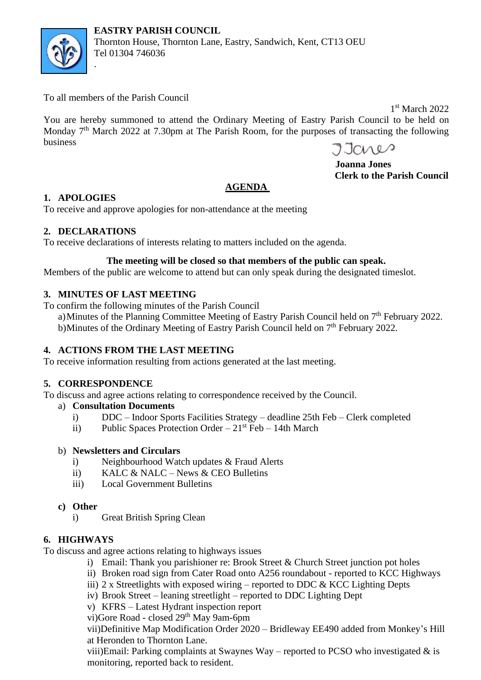



Thornton House, Thornton Lane, Eastry, Sandwich, Kent, CT13 OEU Tel 01304 746036

To all members of the Parish Council

.

1<sup>st</sup> March 2022

You are hereby summoned to attend the Ordinary Meeting of Eastry Parish Council to be held on Monday 7<sup>th</sup> March 2022 at 7.30pm at The Parish Room, for the purposes of transacting the following business

Janes

 **Joanna Jones Clerk to the Parish Council**

# **AGENDA**

# **1. APOLOGIES**

To receive and approve apologies for non-attendance at the meeting

# **2. DECLARATIONS**

To receive declarations of interests relating to matters included on the agenda.

# **The meeting will be closed so that members of the public can speak.**

Members of the public are welcome to attend but can only speak during the designated timeslot.

# **3. MINUTES OF LAST MEETING**

To confirm the following minutes of the Parish Council

a) Minutes of the Planning Committee Meeting of Eastry Parish Council held on 7<sup>th</sup> February 2022. b)Minutes of the Ordinary Meeting of Eastry Parish Council held on 7<sup>th</sup> February 2022.

# **4. ACTIONS FROM THE LAST MEETING**

To receive information resulting from actions generated at the last meeting.

### **5. CORRESPONDENCE**

To discuss and agree actions relating to correspondence received by the Council.

- a) **Consultation Documents** 
	- i) DDC Indoor Sports Facilities Strategy deadline 25th Feb Clerk completed
	- ii) Public Spaces Protection Order  $21<sup>st</sup>$  Feb 14th March

### b) **Newsletters and Circulars**

- i) Neighbourhood Watch updates & Fraud Alerts
- ii) KALC & NALC News & CEO Bulletins
- iii) Local Government Bulletins
- **c) Other**
	- i) Great British Spring Clean

# **6. HIGHWAYS**

To discuss and agree actions relating to highways issues

- i) Email: Thank you parishioner re: Brook Street & Church Street junction pot holes
- ii) Broken road sign from Cater Road onto A256 roundabout reported to KCC Highways
- iii) 2 x Streetlights with exposed wiring reported to DDC  $\&$  KCC Lighting Depts
- iv) Brook Street leaning streetlight reported to DDC Lighting Dept
- v) KFRS Latest Hydrant inspection report

vi)Gore Road - closed 29<sup>th</sup> May 9am-6pm

vii)Definitive Map Modification Order 2020 – Bridleway EE490 added from Monkey's Hill at Heronden to Thornton Lane.

viii)Email: Parking complaints at Swaynes Way – reported to PCSO who investigated  $\&$  is monitoring, reported back to resident.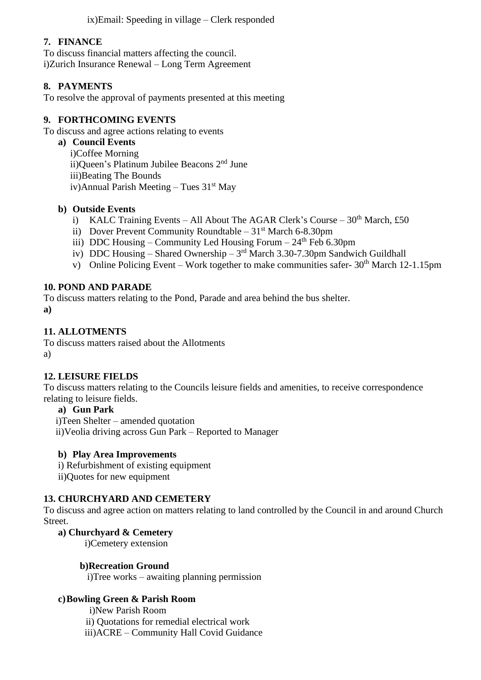ix)Email: Speeding in village – Clerk responded

### **7. FINANCE**

To discuss financial matters affecting the council. i)Zurich Insurance Renewal – Long Term Agreement

### **8. PAYMENTS**

To resolve the approval of payments presented at this meeting

### **9. FORTHCOMING EVENTS**

To discuss and agree actions relating to events

**a) Council Events** i)Coffee Morning ii)Queen's Platinum Jubilee Beacons 2<sup>nd</sup> June iii)Beating The Bounds iv)Annual Parish Meeting – Tues  $31<sup>st</sup>$  May

### **b) Outside Events**

- i) KALC Training Events All About The AGAR Clerk's Course  $30<sup>th</sup>$  March, £50
- ii) Dover Prevent Community Roundtable  $31<sup>st</sup>$  March 6-8.30pm
- iii) DDC Housing Community Led Housing Forum  $24<sup>th</sup>$  Feb 6.30pm
- iv) DDC Housing Shared Ownership  $3<sup>rd</sup>$  March 3.30-7.30pm Sandwich Guildhall
- v) Online Policing Event Work together to make communities safer-  $30<sup>th</sup>$  March 12-1.15pm

### **10. POND AND PARADE**

To discuss matters relating to the Pond, Parade and area behind the bus shelter.

**a)**

### **11. ALLOTMENTS**

To discuss matters raised about the Allotments a)

### **12. LEISURE FIELDS**

To discuss matters relating to the Councils leisure fields and amenities, to receive correspondence relating to leisure fields.

### **a) Gun Park**

i)Teen Shelter – amended quotation

ii)Veolia driving across Gun Park – Reported to Manager

### **b) Play Area Improvements**

i) Refurbishment of existing equipment

ii)Quotes for new equipment

### **13. CHURCHYARD AND CEMETERY**

To discuss and agree action on matters relating to land controlled by the Council in and around Church Street.

### **a) Churchyard & Cemetery**

i)Cemetery extension

### **b)Recreation Ground**

i)Tree works – awaiting planning permission

### **c)Bowling Green & Parish Room**

 i)New Parish Room ii) Quotations for remedial electrical work iii)ACRE – Community Hall Covid Guidance